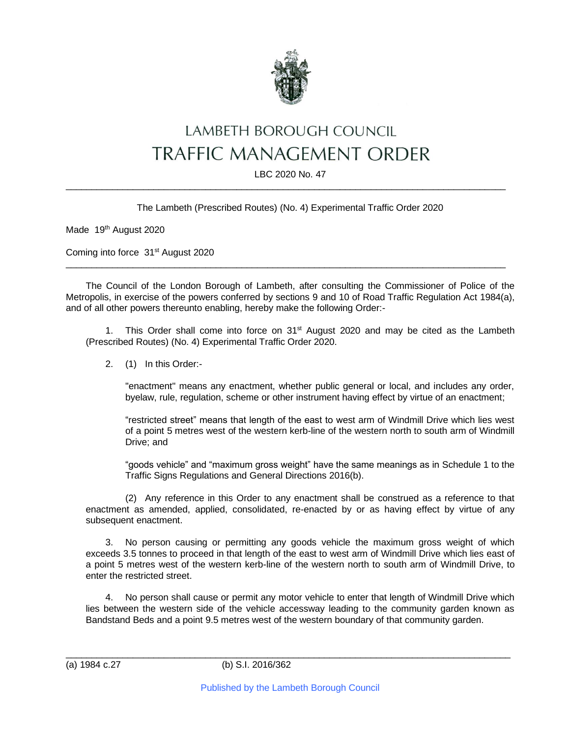

## LAMBETH BOROUGH COUNCIL **TRAFFIC MANAGEMENT ORDER**

LBC 2020 No. 47  $\_$  , and the set of the set of the set of the set of the set of the set of the set of the set of the set of the set of the set of the set of the set of the set of the set of the set of the set of the set of the set of th

The Lambeth (Prescribed Routes) (No. 4) Experimental Traffic Order 2020

Made 19<sup>th</sup> August 2020

Coming into force 31<sup>st</sup> August 2020

The Council of the London Borough of Lambeth, after consulting the Commissioner of Police of the Metropolis, in exercise of the powers conferred by sections 9 and 10 of Road Traffic Regulation Act 1984(a), and of all other powers thereunto enabling, hereby make the following Order:-

 $\_$  , and the set of the set of the set of the set of the set of the set of the set of the set of the set of the set of the set of the set of the set of the set of the set of the set of the set of the set of the set of th

1. This Order shall come into force on 31<sup>st</sup> August 2020 and may be cited as the Lambeth (Prescribed Routes) (No. 4) Experimental Traffic Order 2020.

2. (1) In this Order:-

"enactment" means any enactment, whether public general or local, and includes any order, byelaw, rule, regulation, scheme or other instrument having effect by virtue of an enactment;

"restricted street" means that length of the east to west arm of Windmill Drive which lies west of a point 5 metres west of the western kerb-line of the western north to south arm of Windmill Drive; and

"goods vehicle" and "maximum gross weight" have the same meanings as in Schedule 1 to the Traffic Signs Regulations and General Directions 2016(b).

(2) Any reference in this Order to any enactment shall be construed as a reference to that enactment as amended, applied, consolidated, re-enacted by or as having effect by virtue of any subsequent enactment.

3. No person causing or permitting any goods vehicle the maximum gross weight of which exceeds 3.5 tonnes to proceed in that length of the east to west arm of Windmill Drive which lies east of a point 5 metres west of the western kerb-line of the western north to south arm of Windmill Drive, to enter the restricted street.

No person shall cause or permit any motor vehicle to enter that length of Windmill Drive which lies between the western side of the vehicle accessway leading to the community garden known as Bandstand Beds and a point 9.5 metres west of the western boundary of that community garden.

 $\_$  , and the set of the set of the set of the set of the set of the set of the set of the set of the set of the set of the set of the set of the set of the set of the set of the set of the set of the set of the set of th